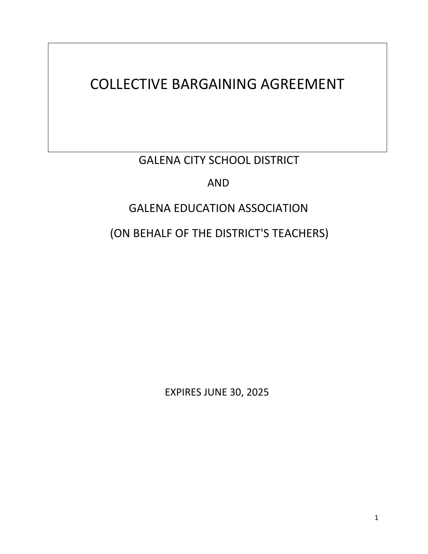# COLLECTIVE BARGAINING AGREEMENT

GALENA CITY SCHOOL DISTRICT

AND

# GALENA EDUCATION ASSOCIATION

(ON BEHALF OF THE DISTRICT'S TEACHERS)

EXPIRES JUNE 30, 2025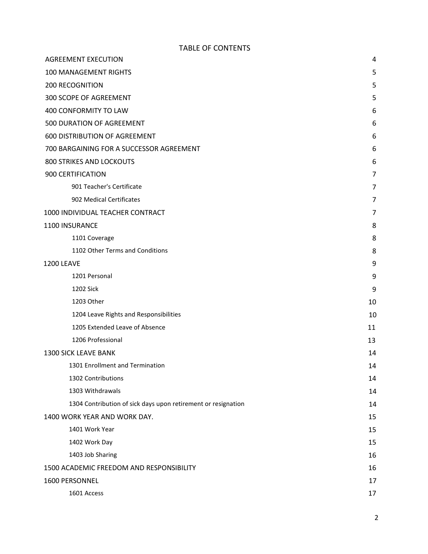#### TABLE OF CONTENTS

| <b>AGREEMENT EXECUTION</b>                                    | 4  |
|---------------------------------------------------------------|----|
| <b>100 MANAGEMENT RIGHTS</b>                                  | 5  |
| <b>200 RECOGNITION</b>                                        | 5  |
| 300 SCOPE OF AGREEMENT                                        | 5  |
| 400 CONFORMITY TO LAW                                         | 6  |
| 500 DURATION OF AGREEMENT                                     | 6  |
| <b>600 DISTRIBUTION OF AGREEMENT</b>                          | 6  |
| 700 BARGAINING FOR A SUCCESSOR AGREEMENT                      | 6  |
| <b>800 STRIKES AND LOCKOUTS</b>                               | 6  |
| 900 CERTIFICATION                                             | 7  |
| 901 Teacher's Certificate                                     | 7  |
| 902 Medical Certificates                                      | 7  |
| 1000 INDIVIDUAL TEACHER CONTRACT                              | 7  |
| 1100 INSURANCE                                                | 8  |
| 1101 Coverage                                                 | 8  |
| 1102 Other Terms and Conditions                               | 8  |
| <b>1200 LEAVE</b>                                             | 9  |
| 1201 Personal                                                 | 9  |
| <b>1202 Sick</b>                                              | 9  |
| 1203 Other                                                    | 10 |
| 1204 Leave Rights and Responsibilities                        | 10 |
| 1205 Extended Leave of Absence                                | 11 |
| 1206 Professional                                             | 13 |
| <b>1300 SICK LEAVE BANK</b>                                   | 14 |
| 1301 Enrollment and Termination                               | 14 |
| 1302 Contributions                                            | 14 |
| 1303 Withdrawals                                              | 14 |
| 1304 Contribution of sick days upon retirement or resignation | 14 |
| 1400 WORK YEAR AND WORK DAY.                                  | 15 |
| 1401 Work Year                                                | 15 |
| 1402 Work Day                                                 | 15 |
| 1403 Job Sharing                                              | 16 |
| 1500 ACADEMIC FREEDOM AND RESPONSIBILITY                      | 16 |
| 1600 PERSONNEL                                                | 17 |
| 1601 Access                                                   | 17 |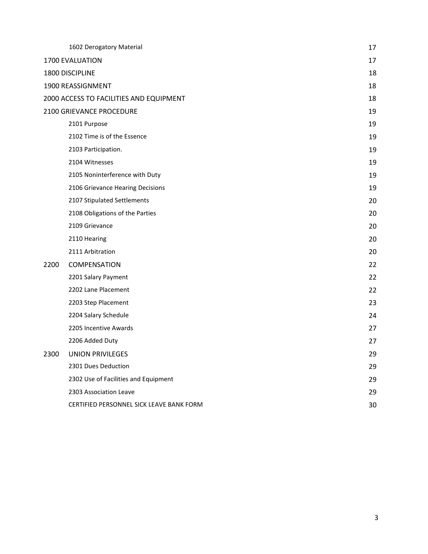|      | 1602 Derogatory Material                 | 17 |
|------|------------------------------------------|----|
|      | 1700 EVALUATION                          | 17 |
|      | 1800 DISCIPLINE                          | 18 |
|      | 1900 REASSIGNMENT                        | 18 |
|      | 2000 ACCESS TO FACILITIES AND EQUIPMENT  | 18 |
|      | 2100 GRIEVANCE PROCEDURE                 | 19 |
|      | 2101 Purpose                             | 19 |
|      | 2102 Time is of the Essence              | 19 |
|      | 2103 Participation.                      | 19 |
|      | 2104 Witnesses                           | 19 |
|      | 2105 Noninterference with Duty           | 19 |
|      | 2106 Grievance Hearing Decisions         | 19 |
|      | 2107 Stipulated Settlements              | 20 |
|      | 2108 Obligations of the Parties          | 20 |
|      | 2109 Grievance                           | 20 |
|      | 2110 Hearing                             | 20 |
|      | 2111 Arbitration                         | 20 |
| 2200 | COMPENSATION                             | 22 |
|      | 2201 Salary Payment                      | 22 |
|      | 2202 Lane Placement                      | 22 |
|      | 2203 Step Placement                      | 23 |
|      | 2204 Salary Schedule                     | 24 |
|      | 2205 Incentive Awards                    | 27 |
|      | 2206 Added Duty                          | 27 |
| 2300 | <b>UNION PRIVILEGES</b>                  | 29 |
|      | 2301 Dues Deduction                      | 29 |
|      | 2302 Use of Facilities and Equipment     | 29 |
|      | 2303 Association Leave                   | 29 |
|      | CERTIFIED PERSONNEL SICK LEAVE BANK FORM | 30 |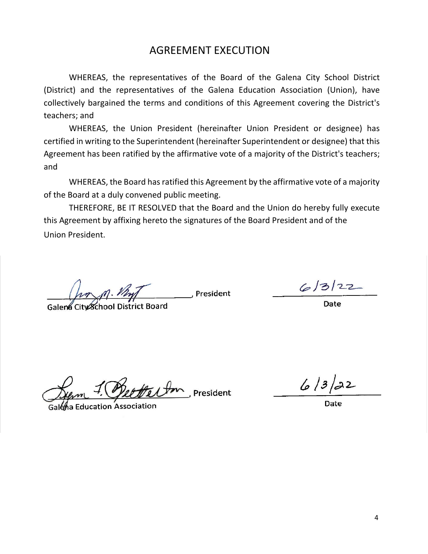# AGREEMENT EXECUTION

WHEREAS, the representatives of the Board of the Galena City School District (District) and the representatives of the Galena Education Association (Union), have collectively bargained the terms and conditions of this Agreement covering the District's teachers; and

WHEREAS, the Union President (hereinafter Union President or designee) has certified in writing to the Superintendent (hereinafter Superintendent or designee) that this Agreement has been ratified by the affirmative vote of a majority of the District's teachers; and

WHEREAS, the Board has ratified this Agreement by the affirmative vote of a majority of the Board at a duly convened public meeting.

THEREFORE, BE IT RESOLVED that the Board and the Union do hereby fully execute this Agreement by affixing hereto the signatures of the Board President and of the Union President.

President

Galena City School District Board  $\mathcal{L}_{\mathcal{A}}$  School District Board Date Board Date Board Date Board Date Board Date Board Date Board Date Board Date Board Date Board Date Board Date Board Date Board Date Board Date Board Date Board Date Board Date Boa

 $6/3/22$ 

 $^{\mathsf{h}}$  President

Galena Education Association

 $6/3/22$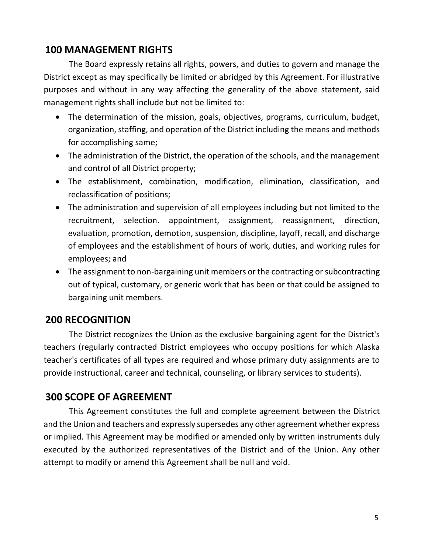# **100 MANAGEMENT RIGHTS**

The Board expressly retains all rights, powers, and duties to govern and manage the District except as may specifically be limited or abridged by this Agreement. For illustrative purposes and without in any way affecting the generality of the above statement, said management rights shall include but not be limited to:

- The determination of the mission, goals, objectives, programs, curriculum, budget, organization, staffing, and operation of the District including the means and methods for accomplishing same;
- The administration of the District, the operation of the schools, and the management and control of all District property;
- The establishment, combination, modification, elimination, classification, and reclassification of positions;
- The administration and supervision of all employees including but not limited to the recruitment, selection. appointment, assignment, reassignment, direction, evaluation, promotion, demotion, suspension, discipline, layoff, recall, and discharge of employees and the establishment of hours of work, duties, and working rules for employees; and
- The assignment to non-bargaining unit members or the contracting or subcontracting out of typical, customary, or generic work that has been or that could be assigned to bargaining unit members.

# **200 RECOGNITION**

The District recognizes the Union as the exclusive bargaining agent for the District's teachers (regularly contracted District employees who occupy positions for which Alaska teacher's certificates of all types are required and whose primary duty assignments are to provide instructional, career and technical, counseling, or library services to students).

# **300 SCOPE OF AGREEMENT**

This Agreement constitutes the full and complete agreement between the District and the Union and teachers and expressly supersedes any other agreement whether express or implied. This Agreement may be modified or amended only by written instruments duly executed by the authorized representatives of the District and of the Union. Any other attempt to modify or amend this Agreement shall be null and void.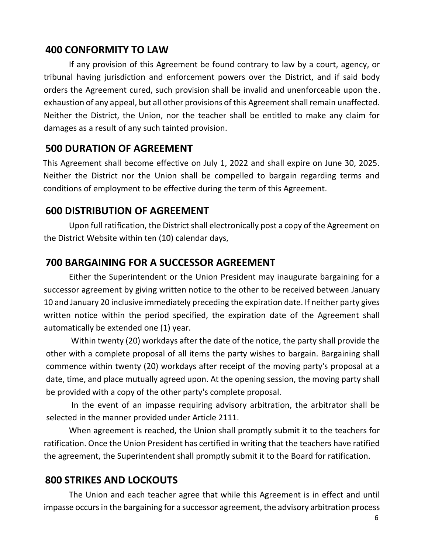# **400 CONFORMITY TO LAW**

If any provision of this Agreement be found contrary to law by a court, agency, or tribunal having jurisdiction and enforcement powers over the District, and if said body orders the Agreement cured, such provision shall be invalid and unenforceable upon the exhaustion of any appeal, but all other provisions of this Agreement shall remain unaffected. Neither the District, the Union, nor the teacher shall be entitled to make any claim for damages as a result of any such tainted provision.

# **500 DURATION OF AGREEMENT**

This Agreement shall become effective on July 1, 2022 and shall expire on June 30, 2025. Neither the District nor the Union shall be compelled to bargain regarding terms and conditions of employment to be effective during the term of this Agreement.

# **600 DISTRIBUTION OF AGREEMENT**

Upon full ratification, the District shall electronically post a copy of the Agreement on the District Website within ten (10) calendar days,

# **700 BARGAINING FOR A SUCCESSOR AGREEMENT**

Either the Superintendent or the Union President may inaugurate bargaining for a successor agreement by giving written notice to the other to be received between January 10 and January 20 inclusive immediately preceding the expiration date. If neither party gives written notice within the period specified, the expiration date of the Agreement shall automatically be extended one (1) year.

Within twenty (20) workdays after the date of the notice, the party shall provide the other with a complete proposal of all items the party wishes to bargain. Bargaining shall commence within twenty (20) workdays after receipt of the moving party's proposal at a date, time, and place mutually agreed upon. At the opening session, the moving party shall be provided with a copy of the other party's complete proposal.

In the event of an impasse requiring advisory arbitration, the arbitrator shall be selected in the manner provided under Article 2111.

When agreement is reached, the Union shall promptly submit it to the teachers for ratification. Once the Union President has certified in writing that the teachers have ratified the agreement, the Superintendent shall promptly submit it to the Board for ratification.

# **800 STRIKES AND LOCKOUTS**

The Union and each teacher agree that while this Agreement is in effect and until impasse occurs in the bargaining for a successor agreement, the advisory arbitration process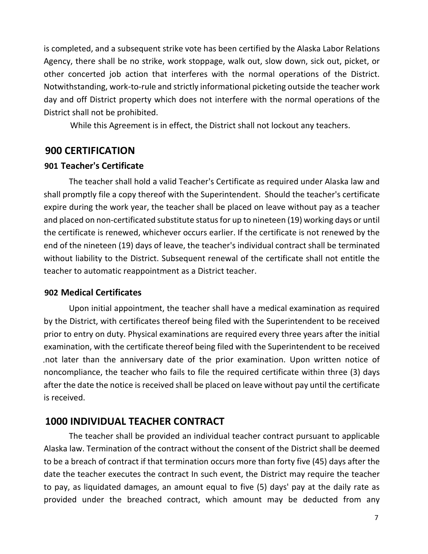is completed, and a subsequent strike vote has been certified by the Alaska Labor Relations Agency, there shall be no strike, work stoppage, walk out, slow down, sick out, picket, or other concerted job action that interferes with the normal operations of the District. Notwithstanding, work-to-rule and strictly informational picketing outside the teacher work day and off District property which does not interfere with the normal operations of the District shall not be prohibited.

While this Agreement is in effect, the District shall not lockout any teachers.

### **900 CERTIFICATION**

#### **901 Teacher's Certificate**

The teacher shall hold a valid Teacher's Certificate as required under Alaska law and shall promptly file a copy thereof with the Superintendent. Should the teacher's certificate expire during the work year, the teacher shall be placed on leave without pay as a teacher and placed on non-certificated substitute status for up to nineteen (19) working days or until the certificate is renewed, whichever occurs earlier. If the certificate is not renewed by the end of the nineteen (19) days of leave, the teacher's individual contract shall be terminated without liability to the District. Subsequent renewal of the certificate shall not entitle the teacher to automatic reappointment as a District teacher.

#### **902 Medical Certificates**

Upon initial appointment, the teacher shall have a medical examination as required by the District, with certificates thereof being filed with the Superintendent to be received prior to entry on duty. Physical examinations are required every three years after the initial examination, with the certificate thereof being filed with the Superintendent to be received not later than the anniversary date of the prior examination. Upon written notice of noncompliance, the teacher who fails to file the required certificate within three (3) days after the date the notice is received shall be placed on leave without pay until the certificate is received.

### **1000 INDIVIDUAL TEACHER CONTRACT**

The teacher shall be provided an individual teacher contract pursuant to applicable Alaska law. Termination of the contract without the consent of the District shall be deemed to be a breach of contract if that termination occurs more than forty five (45) days after the date the teacher executes the contract In such event, the District may require the teacher to pay, as liquidated damages, an amount equal to five (5) days' pay at the daily rate as provided under the breached contract, which amount may be deducted from any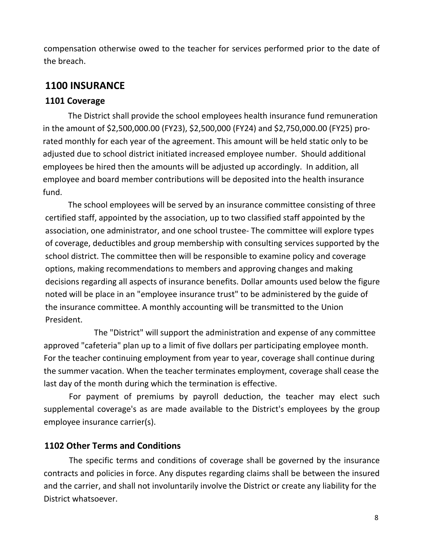compensation otherwise owed to the teacher for services performed prior to the date of the breach.

# **1100 INSURANCE**

# **1101 Coverage**

The District shall provide the school employees health insurance fund remuneration in the amount of \$2,500,000.00 (FY23), \$2,500,000 (FY24) and \$2,750,000.00 (FY25) prorated monthly for each year of the agreement. This amount will be held static only to be adjusted due to school district initiated increased employee number. Should additional employees be hired then the amounts will be adjusted up accordingly. In addition, all employee and board member contributions will be deposited into the health insurance fund.

The school employees will be served by an insurance committee consisting of three certified staff, appointed by the association, up to two classified staff appointed by the association, one administrator, and one school trustee- The committee will explore types of coverage, deductibles and group membership with consulting services supported by the school district. The committee then will be responsible to examine policy and coverage options, making recommendations to members and approving changes and making decisions regarding all aspects of insurance benefits. Dollar amounts used below the figure noted will be place in an "employee insurance trust" to be administered by the guide of the insurance committee. A monthly accounting will be transmitted to the Union President.

The "District" will support the administration and expense of any committee approved "cafeteria" plan up to a limit of five dollars per participating employee month. For the teacher continuing employment from year to year, coverage shall continue during the summer vacation. When the teacher terminates employment, coverage shall cease the last day of the month during which the termination is effective.

For payment of premiums by payroll deduction, the teacher may elect such supplemental coverage's as are made available to the District's employees by the group employee insurance carrier(s).

# **1102 Other Terms and Conditions**

The specific terms and conditions of coverage shall be governed by the insurance contracts and policies in force. Any disputes regarding claims shall be between the insured and the carrier, and shall not involuntarily involve the District or create any liability for the District whatsoever.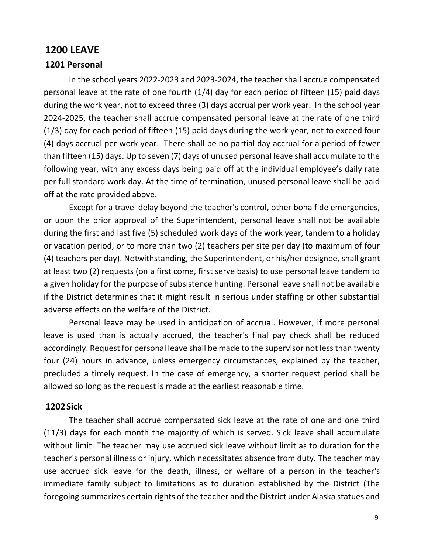### **1200 LEAVE**

#### **1201 Personal**

In the school years 2022-2023 and 2023-2024, the teacher shall accrue compensated personal leave at the rate of one fourth (1/4) day for each period of fifteen (15) paid days during the work year, not to exceed three (3) days accrual per work year. In the school year 2024-2025, the teacher shall accrue compensated personal leave at the rate of one third (1/3) day for each period of fifteen (15) paid days during the work year, not to exceed four (4) days accrual per work year. There shall be no partial day accrual for a period of fewer than fifteen (15) days. Up to seven (7) days of unused personal leave shall accumulate to the following year, with any excess days being paid off at the individual employee's daily rate per full standard work day. At the time of termination, unused personal leave shall be paid off at the rate provided above.

Except for a travel delay beyond the teacher's control, other bona fide emergencies, or upon the prior approval of the Superintendent, personal leave shall not be available during the first and last five (5) scheduled work days of the work year, tandem to a holiday or vacation period, or to more than two (2) teachers per site per day (to maximum of four (4) teachers per day). Notwithstanding, the Superintendent, or his/her designee, shall grant at least two (2) requests (on a first come, first serve basis) to use personal leave tandem to a given holiday for the purpose of subsistence hunting. Personal leave shall not be available if the District determines that it might result in serious under staffing or other substantial adverse effects on the welfare of the District.

Personal leave may be used in anticipation of accrual. However, if more personal leave is used than is actually accrued, the teacher's final pay check shall be reduced accordingly. Request for personal leave shall be made to the supervisor not less than twenty four (24) hours in advance, unless emergency circumstances, explained by the teacher, precluded a timely request. In the case of emergency, a shorter request period shall be allowed so long as the request is made at the earliest reasonable time.

#### **1202Sick**

The teacher shall accrue compensated sick leave at the rate of one and one third (11/3) days for each month the majority of which is served. Sick leave shall accumulate without limit. The teacher may use accrued sick leave without limit as to duration for the teacher's personal illness or injury, which necessitates absence from duty. The teacher may use accrued sick leave for the death, illness, or welfare of a person in the teacher's immediate family subject to limitations as to duration established by the District (The foregoing summarizes certain rights of the teacher and the District under Alaska statues and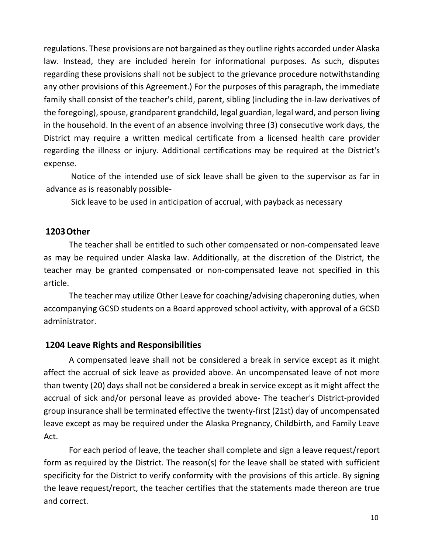regulations. These provisions are not bargained as they outline rights accorded under Alaska law. Instead, they are included herein for informational purposes. As such, disputes regarding these provisions shall not be subject to the grievance procedure notwithstanding any other provisions of this Agreement.) For the purposes of this paragraph, the immediate family shall consist of the teacher's child, parent, sibling (including the in-law derivatives of the foregoing), spouse, grandparent grandchild, legal guardian, legal ward, and person living in the household. In the event of an absence involving three (3) consecutive work days, the District may require a written medical certificate from a licensed health care provider regarding the illness or injury. Additional certifications may be required at the District's expense.

Notice of the intended use of sick leave shall be given to the supervisor as far in advance as is reasonably possible-

Sick leave to be used in anticipation of accrual, with payback as necessary

#### **1203Other**

The teacher shall be entitled to such other compensated or non-compensated leave as may be required under Alaska law. Additionally, at the discretion of the District, the teacher may be granted compensated or non-compensated leave not specified in this article.

The teacher may utilize Other Leave for coaching/advising chaperoning duties, when accompanying GCSD students on a Board approved school activity, with approval of a GCSD administrator.

### **1204 Leave Rights and Responsibilities**

A compensated leave shall not be considered a break in service except as it might affect the accrual of sick leave as provided above. An uncompensated leave of not more than twenty (20) days shall not be considered a break in service except as it might affect the accrual of sick and/or personal leave as provided above- The teacher's District-provided group insurance shall be terminated effective the twenty-first (21st) day of uncompensated leave except as may be required under the Alaska Pregnancy, Childbirth, and Family Leave Act.

For each period of leave, the teacher shall complete and sign a leave request/report form as required by the District. The reason(s) for the leave shall be stated with sufficient specificity for the District to verify conformity with the provisions of this article. By signing the leave request/report, the teacher certifies that the statements made thereon are true and correct.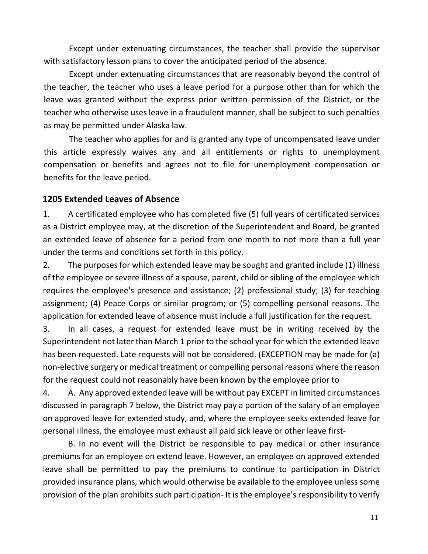Except under extenuating circumstances, the teacher shall provide the supervisor with satisfactory lesson plans to cover the anticipated period of the absence.

Except under extenuating circumstances that are reasonably beyond the control of the teacher, the teacher who uses a leave period for a purpose other than for which the leave was granted without the express prior written permission of the District, or the teacher who otherwise uses leave in a fraudulent manner, shall be subject to such penalties as may be permitted under Alaska law.

The teacher who applies for and is granted any type of uncompensated leave under this article expressly waives any and all entitlements or rights to unemployment compensation or benefits and agrees not to file for unemployment compensation or benefits for the leave period.

### **1205 Extended Leaves of Absence**

1. A certificated employee who has completed five (5) full years of certificated services as a District employee may, at the discretion of the Superintendent and Board, be granted an extended leave of absence for a period from one month to not more than a full year under the terms and conditions set forth in this policy.

2. The purposes for which extended leave may be sought and granted include (1) illness of the employee or severe illness of a spouse, parent, child or sibling of the employee which requires the employee's presence and assistance; (2) professional study; (3) for teaching assignment; (4) Peace Corps or similar program; or (5) compelling personal reasons. The application for extended leave of absence must include a full justification for the request.

3. In all cases, a request for extended leave must be in writing received by the Superintendent not later than March 1 prior to the school year for which the extended leave has been requested. Late requests will not be considered. (EXCEPTION may be made for (a) non-elective surgery or medical treatment or compelling personal reasons where the reason for the request could not reasonably have been known by the employee prior to

4. A. Any approved extended leave will be without pay EXCEPT in limited circumstances discussed in paragraph 7 below, the District may pay a portion of the salary of an employee on approved leave for extended study, and, where the employee seeks extended leave for personal illness, the employee must exhaust all paid sick leave or other leave first-

B. In no event will the District be responsible to pay medical or other insurance premiums for an employee on extend leave. However, an employee on approved extended leave shall be permitted to pay the premiums to continue to participation in District provided insurance plans, which would otherwise be available to the employee unless some provision of the plan prohibits such participation- It is the employee's responsibility to verify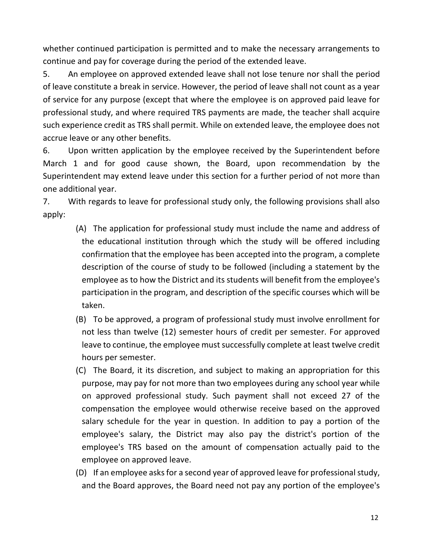whether continued participation is permitted and to make the necessary arrangements to continue and pay for coverage during the period of the extended leave.

5. An employee on approved extended leave shall not lose tenure nor shall the period of leave constitute a break in service. However, the period of leave shall not count as a year of service for any purpose (except that where the employee is on approved paid leave for professional study, and where required TRS payments are made, the teacher shall acquire such experience credit as TRS shall permit. While on extended leave, the employee does not accrue leave or any other benefits.

6. Upon written application by the employee received by the Superintendent before March 1 and for good cause shown, the Board, upon recommendation by the Superintendent may extend leave under this section for a further period of not more than one additional year.

7. With regards to leave for professional study only, the following provisions shall also apply:

- (A) The application for professional study must include the name and address of the educational institution through which the study will be offered including confirmation that the employee has been accepted into the program, a complete description of the course of study to be followed (including a statement by the employee as to how the District and its students will benefit from the employee's participation in the program, and description of the specific courses which will be taken.
- (B) To be approved, a program of professional study must involve enrollment for not less than twelve (12) semester hours of credit per semester. For approved leave to continue, the employee must successfully complete at least twelve credit hours per semester.
- (C) The Board, it its discretion, and subject to making an appropriation for this purpose, may pay for not more than two employees during any school year while on approved professional study. Such payment shall not exceed 27 of the compensation the employee would otherwise receive based on the approved salary schedule for the year in question. In addition to pay a portion of the employee's salary, the District may also pay the district's portion of the employee's TRS based on the amount of compensation actually paid to the employee on approved leave.
- (D) If an employee asks for a second year of approved leave for professional study, and the Board approves, the Board need not pay any portion of the employee's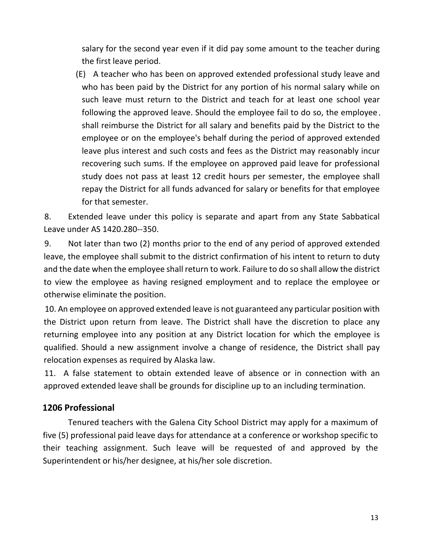salary for the second year even if it did pay some amount to the teacher during the first leave period.

(E) A teacher who has been on approved extended professional study leave and who has been paid by the District for any portion of his normal salary while on such leave must return to the District and teach for at least one school year following the approved leave. Should the employee fail to do so, the employee shall reimburse the District for all salary and benefits paid by the District to the employee or on the employee's behalf during the period of approved extended leave plus interest and such costs and fees as the District may reasonably incur recovering such sums. If the employee on approved paid leave for professional study does not pass at least 12 credit hours per semester, the employee shall repay the District for all funds advanced for salary or benefits for that employee for that semester.

8. Extended leave under this policy is separate and apart from any State Sabbatical Leave under AS 1420.280--350.

9. Not later than two (2) months prior to the end of any period of approved extended leave, the employee shall submit to the district confirmation of his intent to return to duty and the date when the employee shall return to work. Failure to do so shall allow the district to view the employee as having resigned employment and to replace the employee or otherwise eliminate the position.

10. An employee on approved extended leave is not guaranteed any particular position with the District upon return from leave. The District shall have the discretion to place any returning employee into any position at any District location for which the employee is qualified. Should a new assignment involve a change of residence, the District shall pay relocation expenses as required by Alaska law.

11. A false statement to obtain extended leave of absence or in connection with an approved extended leave shall be grounds for discipline up to an including termination.

# **1206 Professional**

Tenured teachers with the Galena City School District may apply for a maximum of five (5) professional paid leave days for attendance at a conference or workshop specific to their teaching assignment. Such leave will be requested of and approved by the Superintendent or his/her designee, at his/her sole discretion.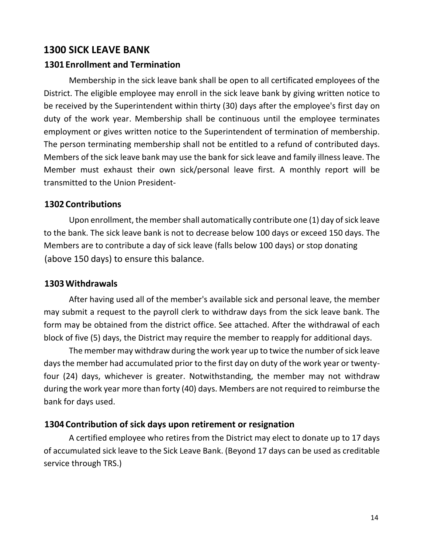## **1300 SICK LEAVE BANK**

### **1301 Enrollment and Termination**

Membership in the sick leave bank shall be open to all certificated employees of the District. The eligible employee may enroll in the sick leave bank by giving written notice to be received by the Superintendent within thirty (30) days after the employee's first day on duty of the work year. Membership shall be continuous until the employee terminates employment or gives written notice to the Superintendent of termination of membership. The person terminating membership shall not be entitled to a refund of contributed days. Members of the sick leave bank may use the bank for sick leave and family illness leave. The Member must exhaust their own sick/personal leave first. A monthly report will be transmitted to the Union President-

### **1302 Contributions**

Upon enrollment, the member shall automatically contribute one (1) day of sick leave to the bank. The sick leave bank is not to decrease below 100 days or exceed 150 days. The Members are to contribute a day of sick leave (falls below 100 days) or stop donating (above 150 days) to ensure this balance.

### **1303Withdrawals**

After having used all of the member's available sick and personal leave, the member may submit a request to the payroll clerk to withdraw days from the sick leave bank. The form may be obtained from the district office. See attached. After the withdrawal of each block of five (5) days, the District may require the member to reapply for additional days.

The member may withdraw during the work year up to twice the number of sick leave days the member had accumulated prior to the first day on duty of the work year or twentyfour (24) days, whichever is greater. Notwithstanding, the member may not withdraw during the work year more than forty (40) days. Members are not required to reimburse the bank for days used.

### **1304 Contribution of sick days upon retirement or resignation**

A certified employee who retires from the District may elect to donate up to 17 days of accumulated sick leave to the Sick Leave Bank. (Beyond 17 days can be used as creditable service through TRS.)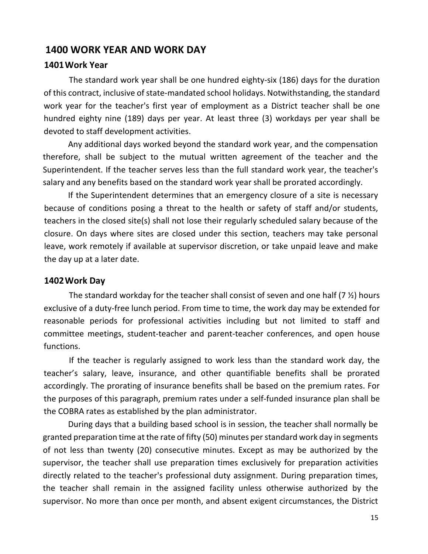## **1400 WORK YEAR AND WORK DAY**

#### **1401Work Year**

The standard work year shall be one hundred eighty-six (186) days for the duration of this contract, inclusive of state-mandated school holidays. Notwithstanding, the standard work year for the teacher's first year of employment as a District teacher shall be one hundred eighty nine (189) days per year. At least three (3) workdays per year shall be devoted to staff development activities.

Any additional days worked beyond the standard work year, and the compensation therefore, shall be subject to the mutual written agreement of the teacher and the Superintendent. If the teacher serves less than the full standard work year, the teacher's salary and any benefits based on the standard work year shall be prorated accordingly.

If the Superintendent determines that an emergency closure of a site is necessary because of conditions posing a threat to the health or safety of staff and/or students, teachers in the closed site(s) shall not lose their regularly scheduled salary because of the closure. On days where sites are closed under this section, teachers may take personal leave, work remotely if available at supervisor discretion, or take unpaid leave and make the day up at a later date.

#### **1402Work Day**

The standard workday for the teacher shall consist of seven and one half (7 ½) hours exclusive of a duty-free lunch period. From time to time, the work day may be extended for reasonable periods for professional activities including but not limited to staff and committee meetings, student-teacher and parent-teacher conferences, and open house functions.

If the teacher is regularly assigned to work less than the standard work day, the teacher's salary, leave, insurance, and other quantifiable benefits shall be prorated accordingly. The prorating of insurance benefits shall be based on the premium rates. For the purposes of this paragraph, premium rates under a self-funded insurance plan shall be the COBRA rates as established by the plan administrator.

During days that a building based school is in session, the teacher shall normally be granted preparation time at the rate of fifty (50) minutes perstandard work day in segments of not less than twenty (20) consecutive minutes. Except as may be authorized by the supervisor, the teacher shall use preparation times exclusively for preparation activities directly related to the teacher's professional duty assignment. During preparation times, the teacher shall remain in the assigned facility unless otherwise authorized by the supervisor. No more than once per month, and absent exigent circumstances, the District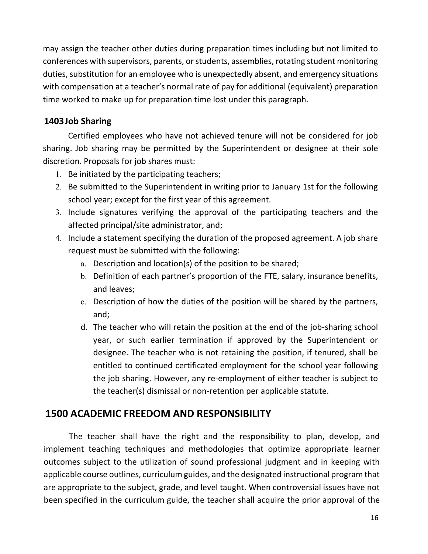may assign the teacher other duties during preparation times including but not limited to conferences with supervisors, parents, or students, assemblies, rotating student monitoring duties, substitution for an employee who is unexpectedly absent, and emergency situations with compensation at a teacher's normal rate of pay for additional (equivalent) preparation time worked to make up for preparation time lost under this paragraph.

## **1403Job Sharing**

Certified employees who have not achieved tenure will not be considered for job sharing. Job sharing may be permitted by the Superintendent or designee at their sole discretion. Proposals for job shares must:

- 1. Be initiated by the participating teachers;
- 2. Be submitted to the Superintendent in writing prior to January 1st for the following school year; except for the first year of this agreement.
- 3. Include signatures verifying the approval of the participating teachers and the affected principal/site administrator, and;
- 4. Include a statement specifying the duration of the proposed agreement. A job share request must be submitted with the following:
	- a. Description and location(s) of the position to be shared;
	- b. Definition of each partner's proportion of the FTE, salary, insurance benefits, and leaves;
	- c. Description of how the duties of the position will be shared by the partners, and;
	- d. The teacher who will retain the position at the end of the job-sharing school year, or such earlier termination if approved by the Superintendent or designee. The teacher who is not retaining the position, if tenured, shall be entitled to continued certificated employment for the school year following the job sharing. However, any re-employment of either teacher is subject to the teacher(s) dismissal or non-retention per applicable statute.

# **1500 ACADEMIC FREEDOM AND RESPONSIBILITY**

The teacher shall have the right and the responsibility to plan, develop, and implement teaching techniques and methodologies that optimize appropriate learner outcomes subject to the utilization of sound professional judgment and in keeping with applicable course outlines, curriculum guides, and the designated instructional program that are appropriate to the subject, grade, and level taught. When controversial issues have not been specified in the curriculum guide, the teacher shall acquire the prior approval of the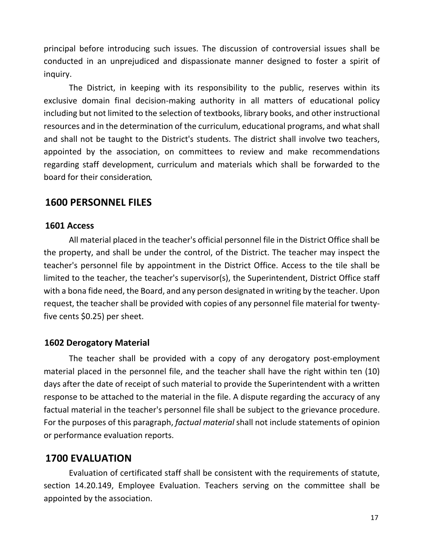principal before introducing such issues. The discussion of controversial issues shall be conducted in an unprejudiced and dispassionate manner designed to foster a spirit of inquiry.

The District, in keeping with its responsibility to the public, reserves within its exclusive domain final decision-making authority in all matters of educational policy including but not limited to the selection of textbooks, library books, and other instructional resources and in the determination of the curriculum, educational programs, and what shall and shall not be taught to the District's students. The district shall involve two teachers, appointed by the association, on committees to review and make recommendations regarding staff development, curriculum and materials which shall be forwarded to the board for their consideration

# **1600 PERSONNEL FILES**

#### **1601 Access**

All material placed in the teacher's official personnel file in the District Office shall be the property, and shall be under the control, of the District. The teacher may inspect the teacher's personnel file by appointment in the District Office. Access to the tile shall be limited to the teacher, the teacher's supervisor(s), the Superintendent, District Office staff with a bona fide need, the Board, and any person designated in writing by the teacher. Upon request, the teacher shall be provided with copies of any personnel file material for twentyfive cents \$0.25) per sheet.

### **1602 Derogatory Material**

The teacher shall be provided with a copy of any derogatory post-employment material placed in the personnel file, and the teacher shall have the right within ten (10) days after the date of receipt of such material to provide the Superintendent with a written response to be attached to the material in the file. A dispute regarding the accuracy of any factual material in the teacher's personnel file shall be subject to the grievance procedure. For the purposes of this paragraph, *factual material* shall not include statements of opinion or performance evaluation reports.

### **1700 EVALUATION**

Evaluation of certificated staff shall be consistent with the requirements of statute, section 14.20.149, Employee Evaluation. Teachers serving on the committee shall be appointed by the association.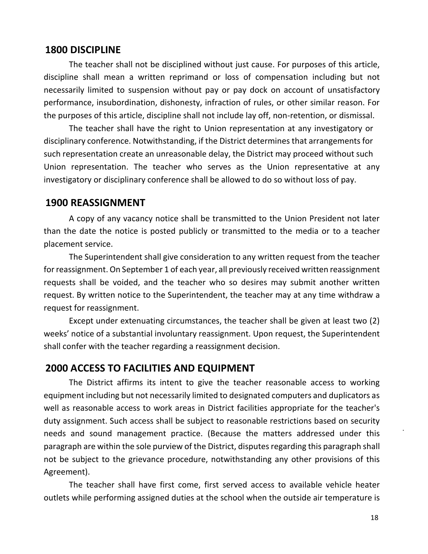#### **1800 DISCIPLINE**

The teacher shall not be disciplined without just cause. For purposes of this article, discipline shall mean a written reprimand or loss of compensation including but not necessarily limited to suspension without pay or pay dock on account of unsatisfactory performance, insubordination, dishonesty, infraction of rules, or other similar reason. For the purposes of this article, discipline shall not include lay off, non-retention, or dismissal.

The teacher shall have the right to Union representation at any investigatory or disciplinary conference. Notwithstanding, if the District determines that arrangements for such representation create an unreasonable delay, the District may proceed without such Union representation. The teacher who serves as the Union representative at any investigatory or disciplinary conference shall be allowed to do so without loss of pay.

#### **1900 REASSIGNMENT**

A copy of any vacancy notice shall be transmitted to the Union President not later than the date the notice is posted publicly or transmitted to the media or to a teacher placement service.

The Superintendent shall give consideration to any written request from the teacher for reassignment. On September 1 of each year, all previously received written reassignment requests shall be voided, and the teacher who so desires may submit another written request. By written notice to the Superintendent, the teacher may at any time withdraw a request for reassignment.

Except under extenuating circumstances, the teacher shall be given at least two (2) weeks' notice of a substantial involuntary reassignment. Upon request, the Superintendent shall confer with the teacher regarding a reassignment decision.

### **2000 ACCESS TO FACILITIES AND EQUIPMENT**

The District affirms its intent to give the teacher reasonable access to working equipment including but not necessarily limited to designated computers and duplicators as well as reasonable access to work areas in District facilities appropriate for the teacher's duty assignment. Such access shall be subject to reasonable restrictions based on security needs and sound management practice. (Because the matters addressed under this paragraph are within the sole purview of the District, disputes regarding this paragraph shall not be subject to the grievance procedure, notwithstanding any other provisions of this Agreement).

The teacher shall have first come, first served access to available vehicle heater outlets while performing assigned duties at the school when the outside air temperature is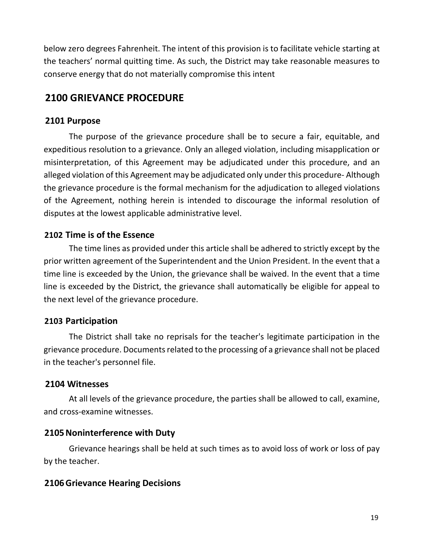below zero degrees Fahrenheit. The intent of this provision is to facilitate vehicle starting at the teachers' normal quitting time. As such, the District may take reasonable measures to conserve energy that do not materially compromise this intent

# **2100 GRIEVANCE PROCEDURE**

### **2101 Purpose**

The purpose of the grievance procedure shall be to secure a fair, equitable, and expeditious resolution to a grievance. Only an alleged violation, including misapplication or misinterpretation, of this Agreement may be adjudicated under this procedure, and an alleged violation of this Agreement may be adjudicated only under this procedure- Although the grievance procedure is the formal mechanism for the adjudication to alleged violations of the Agreement, nothing herein is intended to discourage the informal resolution of disputes at the lowest applicable administrative level.

# **2102 Time is of the Essence**

The time lines as provided under this article shall be adhered to strictly except by the prior written agreement of the Superintendent and the Union President. In the event that a time line is exceeded by the Union, the grievance shall be waived. In the event that a time line is exceeded by the District, the grievance shall automatically be eligible for appeal to the next level of the grievance procedure.

### **2103 Participation**

The District shall take no reprisals for the teacher's legitimate participation in the grievance procedure. Documents related to the processing of a grievance shall not be placed in the teacher's personnel file.

# **2104 Witnesses**

At all levels of the grievance procedure, the parties shall be allowed to call, examine, and cross-examine witnesses.

# **2105Noninterference with Duty**

Grievance hearings shall be held at such times as to avoid loss of work or loss of pay by the teacher.

# **2106Grievance Hearing Decisions**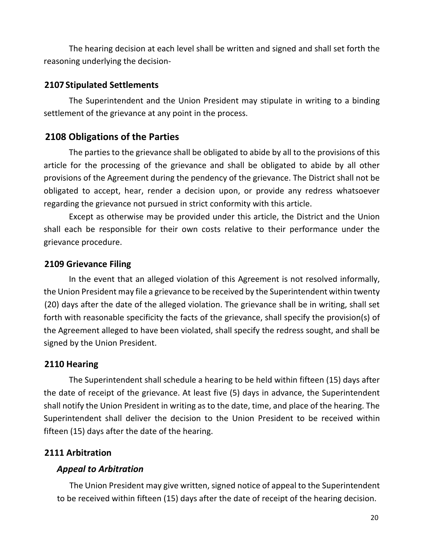The hearing decision at each level shall be written and signed and shall set forth the reasoning underlying the decision-

### **2107 Stipulated Settlements**

The Superintendent and the Union President may stipulate in writing to a binding settlement of the grievance at any point in the process.

# **2108 Obligations of the Parties**

The parties to the grievance shall be obligated to abide by all to the provisions of this article for the processing of the grievance and shall be obligated to abide by all other provisions of the Agreement during the pendency of the grievance. The District shall not be obligated to accept, hear, render a decision upon, or provide any redress whatsoever regarding the grievance not pursued in strict conformity with this article.

Except as otherwise may be provided under this article, the District and the Union shall each be responsible for their own costs relative to their performance under the grievance procedure.

### **2109 Grievance Filing**

In the event that an alleged violation of this Agreement is not resolved informally, the Union President may file a grievance to be received by the Superintendent within twenty (20) days after the date of the alleged violation. The grievance shall be in writing, shall set forth with reasonable specificity the facts of the grievance, shall specify the provision(s) of the Agreement alleged to have been violated, shall specify the redress sought, and shall be signed by the Union President.

### **2110 Hearing**

The Superintendent shall schedule a hearing to be held within fifteen (15) days after the date of receipt of the grievance. At least five (5) days in advance, the Superintendent shall notify the Union President in writing as to the date, time, and place of the hearing. The Superintendent shall deliver the decision to the Union President to be received within fifteen (15) days after the date of the hearing.

### **2111 Arbitration**

### *Appeal to Arbitration*

The Union President may give written, signed notice of appeal to the Superintendent to be received within fifteen (15) days after the date of receipt of the hearing decision.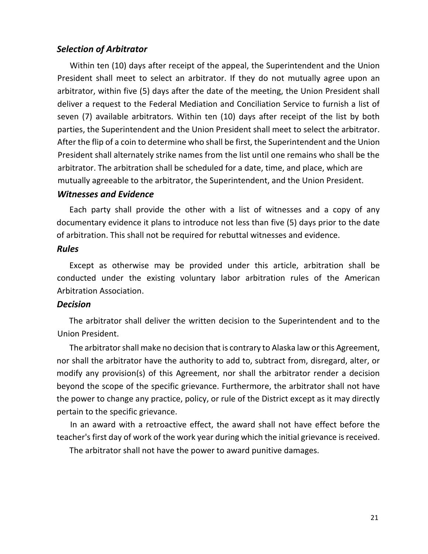#### *Selection of Arbitrator*

Within ten (10) days after receipt of the appeal, the Superintendent and the Union President shall meet to select an arbitrator. If they do not mutually agree upon an arbitrator, within five (5) days after the date of the meeting, the Union President shall deliver a request to the Federal Mediation and Conciliation Service to furnish a list of seven (7) available arbitrators. Within ten (10) days after receipt of the list by both parties, the Superintendent and the Union President shall meet to select the arbitrator. After the flip of a coin to determine who shall be first, the Superintendent and the Union President shall alternately strike names from the list until one remains who shall be the arbitrator. The arbitration shall be scheduled for a date, time, and place, which are mutually agreeable to the arbitrator, the Superintendent, and the Union President.

#### *Witnesses and Evidence*

Each party shall provide the other with a list of witnesses and a copy of any documentary evidence it plans to introduce not less than five (5) days prior to the date of arbitration. This shall not be required for rebuttal witnesses and evidence.

#### *Rules*

Except as otherwise may be provided under this article, arbitration shall be conducted under the existing voluntary labor arbitration rules of the American Arbitration Association.

#### *Decision*

The arbitrator shall deliver the written decision to the Superintendent and to the Union President.

The arbitrator shall make no decision that is contrary to Alaska law or this Agreement, nor shall the arbitrator have the authority to add to, subtract from, disregard, alter, or modify any provision(s) of this Agreement, nor shall the arbitrator render a decision beyond the scope of the specific grievance. Furthermore, the arbitrator shall not have the power to change any practice, policy, or rule of the District except as it may directly pertain to the specific grievance.

In an award with a retroactive effect, the award shall not have effect before the teacher's first day of work of the work year during which the initial grievance is received.

The arbitrator shall not have the power to award punitive damages.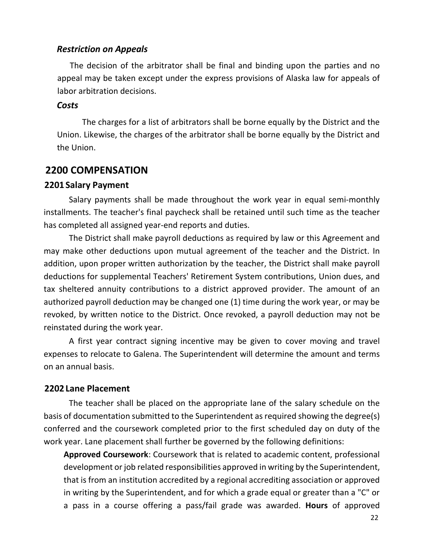#### *Restriction on Appeals*

The decision of the arbitrator shall be final and binding upon the parties and no appeal may be taken except under the express provisions of Alaska law for appeals of labor arbitration decisions.

#### *Costs*

The charges for a list of arbitrators shall be borne equally by the District and the Union. Likewise, the charges of the arbitrator shall be borne equally by the District and the Union.

### **2200 COMPENSATION**

#### **2201 Salary Payment**

Salary payments shall be made throughout the work year in equal semi-monthly installments. The teacher's final paycheck shall be retained until such time as the teacher has completed all assigned year-end reports and duties.

The District shall make payroll deductions as required by law or this Agreement and may make other deductions upon mutual agreement of the teacher and the District. In addition, upon proper written authorization by the teacher, the District shall make payroll deductions for supplemental Teachers' Retirement System contributions, Union dues, and tax sheltered annuity contributions to a district approved provider. The amount of an authorized payroll deduction may be changed one (1) time during the work year, or may be revoked, by written notice to the District. Once revoked, a payroll deduction may not be reinstated during the work year.

A first year contract signing incentive may be given to cover moving and travel expenses to relocate to Galena. The Superintendent will determine the amount and terms on an annual basis.

#### **2202 Lane Placement**

The teacher shall be placed on the appropriate lane of the salary schedule on the basis of documentation submitted to the Superintendent as required showing the degree(s) conferred and the coursework completed prior to the first scheduled day on duty of the work year. Lane placement shall further be governed by the following definitions:

**Approved Coursework**: Coursework that is related to academic content, professional development or job related responsibilities approved in writing by the Superintendent, that is from an institution accredited by a regional accrediting association or approved in writing by the Superintendent, and for which a grade equal or greater than a "C" or a pass in a course offering a pass/fail grade was awarded. **Hours** of approved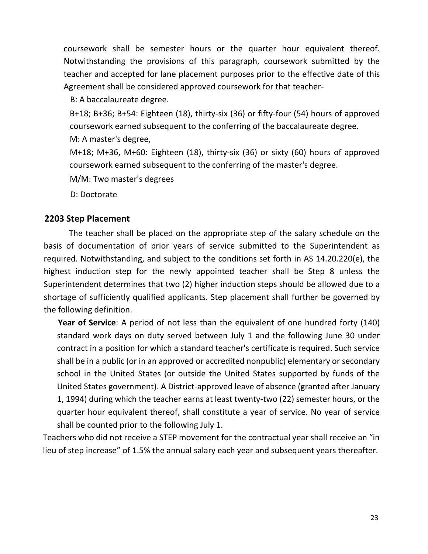coursework shall be semester hours or the quarter hour equivalent thereof. Notwithstanding the provisions of this paragraph, coursework submitted by the teacher and accepted for lane placement purposes prior to the effective date of this Agreement shall be considered approved coursework for that teacher-

B: A baccalaureate degree.

B+18; B+36; B+54: Eighteen (18), thirty-six (36) or fifty-four (54) hours of approved coursework earned subsequent to the conferring of the baccalaureate degree.

M: A master's degree,

M+18; M+36, M+60: Eighteen (18), thirty-six (36) or sixty (60) hours of approved coursework earned subsequent to the conferring of the master's degree.

M/M: Two master's degrees

D: Doctorate

### **2203 Step Placement**

The teacher shall be placed on the appropriate step of the salary schedule on the basis of documentation of prior years of service submitted to the Superintendent as required. Notwithstanding, and subject to the conditions set forth in AS 14.20.220(e), the highest induction step for the newly appointed teacher shall be Step 8 unless the Superintendent determines that two (2) higher induction steps should be allowed due to a shortage of sufficiently qualified applicants. Step placement shall further be governed by the following definition.

**Year of Service**: A period of not less than the equivalent of one hundred forty (140) standard work days on duty served between July 1 and the following June 30 under contract in a position for which a standard teacher's certificate is required. Such service shall be in a public (or in an approved or accredited nonpublic) elementary or secondary school in the United States (or outside the United States supported by funds of the United States government). A District-approved leave of absence (granted after January 1, 1994) during which the teacher earns at least twenty-two (22) semester hours, or the quarter hour equivalent thereof, shall constitute a year of service. No year of service shall be counted prior to the following July 1.

Teachers who did not receive a STEP movement for the contractual year shall receive an "in lieu of step increase" of 1.5% the annual salary each year and subsequent years thereafter.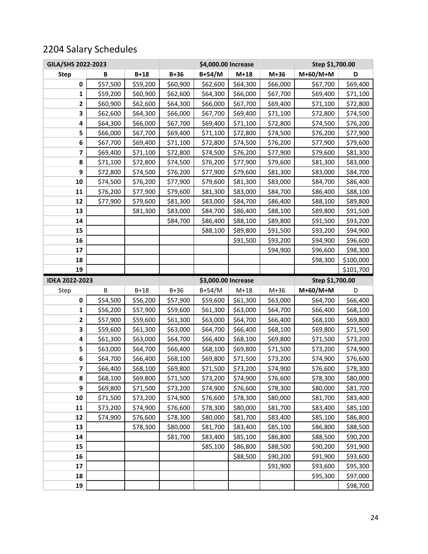# 2204 Salary Schedules

| GILA/SHS 2022-2023    |          |          |          | \$4,000.00 Increase | Step \$1,700.00 |          |                 |                      |
|-----------------------|----------|----------|----------|---------------------|-----------------|----------|-----------------|----------------------|
| <b>Step</b>           | В        | $B+18$   | $B+36$   | B+54/M              | $M+18$          | $M+36$   | $M+60/M+M$      | D                    |
| 0                     | \$57,500 | \$59,200 | \$60,900 | \$62,600            | \$64,300        | \$66,000 | \$67,700        | \$69,400             |
| 1                     | \$59,200 | \$60,900 | \$62,600 | \$64,300            | \$66,000        | \$67,700 | \$69,400        | \$71,100             |
| 2                     | \$60,900 | \$62,600 | \$64,300 | \$66,000            | \$67,700        | \$69,400 | \$71,100        | \$72,800             |
| 3                     | \$62,600 | \$64,300 | \$66,000 | \$67,700            | \$69,400        | \$71,100 | \$72,800        | \$74,500             |
| 4                     | \$64,300 | \$66,000 | \$67,700 | \$69,400            | \$71,100        | \$72,800 | \$74,500        | \$76,200             |
| 5                     | \$66,000 | \$67,700 | \$69,400 | \$71,100            | \$72,800        | \$74,500 | \$76,200        | \$77,900             |
| 6                     | \$67,700 | \$69,400 | \$71,100 | \$72,800            | \$74,500        | \$76,200 | \$77,900        | \$79,600             |
| 7                     | \$69,400 | \$71,100 | \$72,800 | \$74,500            | \$76,200        | \$77,900 | \$79,600        | \$81,300             |
| 8                     | \$71,100 | \$72,800 | \$74,500 | \$76,200            | \$77,900        | \$79,600 | \$81,300        | \$83,000             |
| 9                     | \$72,800 | \$74,500 | \$76,200 | \$77,900            | \$79,600        | \$81,300 | \$83,000        | \$84,700             |
| 10                    | \$74,500 | \$76,200 | \$77,900 | \$79,600            | \$81,300        | \$83,000 | \$84,700        | \$86,400             |
| 11                    | \$76,200 | \$77,900 | \$79,600 | \$81,300            | \$83,000        | \$84,700 | \$86,400        | \$88,100             |
| 12                    | \$77,900 | \$79,600 | \$81,300 | \$83,000            | \$84,700        | \$86,400 | \$88,100        | \$89,800             |
| 13                    |          | \$81,300 | \$83,000 | \$84,700            | \$86,400        | \$88,100 | \$89,800        | \$91,500             |
| 14                    |          |          | \$84,700 | \$86,400            | \$88,100        | \$89,800 | \$91,500        | \$93,200             |
| 15                    |          |          |          | \$88,100            | \$89,800        | \$91,500 | \$93,200        | \$94,900             |
| 16                    |          |          |          |                     | \$91,500        | \$93,200 | \$94,900        | \$96,600             |
| 17                    |          |          |          |                     |                 | \$94,900 | \$96,600        | \$98,300             |
| 18                    |          |          |          |                     |                 |          | \$98,300        | \$100,000            |
| 19                    |          |          |          |                     |                 |          |                 | \$101,700            |
|                       |          |          |          |                     |                 |          |                 |                      |
| <b>IDEA 2022-2023</b> |          |          |          | \$3,000.00 Increase |                 |          | Step \$1,700.00 |                      |
| Step                  | В        | B+18     | $B+36$   | B+54/M              | $M+18$          | $M+36$   | $M+60/M+M$      | D                    |
| $\pmb{0}$             | \$54,500 | \$56,200 | \$57,900 | \$59,600            | \$61,300        | \$63,000 | \$64,700        | \$66,400             |
| 1                     | \$56,200 | \$57,900 | \$59,600 | \$61,300            | \$63,000        | \$64,700 | \$66,400        | \$68,100             |
| 2                     | \$57,900 | \$59,600 | \$61,300 | \$63,000            | \$64,700        | \$66,400 | \$68,100        | \$69,800             |
| 3                     | \$59,600 | \$61,300 | \$63,000 | \$64,700            | \$66,400        | \$68,100 | \$69,800        | \$71,500             |
| 4                     | \$61,300 | \$63,000 | \$64,700 | \$66,400            | \$68,100        | \$69,800 | \$71,500        | \$73,200             |
| 5                     | \$63,000 | \$64,700 | \$66,400 | \$68,100            | \$69,800        | \$71,500 | \$73,200        | \$74,900             |
| 6                     | \$64,700 | \$66,400 | \$68,100 | \$69,800            | \$71,500        | \$73,200 | \$74,900        | \$76,600             |
| 7                     | \$66,400 | \$68,100 | \$69,800 | \$71,500            | \$73,200        | \$74,900 | \$76,600        | \$78,300             |
| 8                     | \$68,100 | \$69,800 | \$71,500 | \$73,200            | \$74,900        | \$76,600 | \$78,300        | \$80,000             |
| 9                     | \$69,800 | \$71,500 | \$73,200 | \$74,900            | \$76,600        | \$78,300 | \$80,000        | \$81,700             |
| 10                    | \$71,500 | \$73,200 | \$74,900 | \$76,600            | \$78,300        | \$80,000 | \$81,700        | \$83,400             |
| 11                    | \$73,200 | \$74,900 | \$76,600 | \$78,300            | \$80,000        | \$81,700 | \$83,400        | \$85,100             |
| 12                    | \$74,900 | \$76,600 | \$78,300 | \$80,000            | \$81,700        | \$83,400 | \$85,100        | \$86,800             |
| 13                    |          | \$78,300 | \$80,000 | \$81,700            | \$83,400        | \$85,100 | \$86,800        | \$88,500             |
| 14                    |          |          | \$81,700 | \$83,400            | \$85,100        | \$86,800 | \$88,500        | \$90,200             |
| 15                    |          |          |          | \$85,100            | \$86,800        | \$88,500 | \$90,200        | \$91,900             |
| 16                    |          |          |          |                     | \$88,500        | \$90,200 | \$91,900        | \$93,600             |
| 17                    |          |          |          |                     |                 | \$91,900 | \$93,600        | \$95,300             |
| 18<br>19              |          |          |          |                     |                 |          | \$95,300        | \$97,000<br>\$98,700 |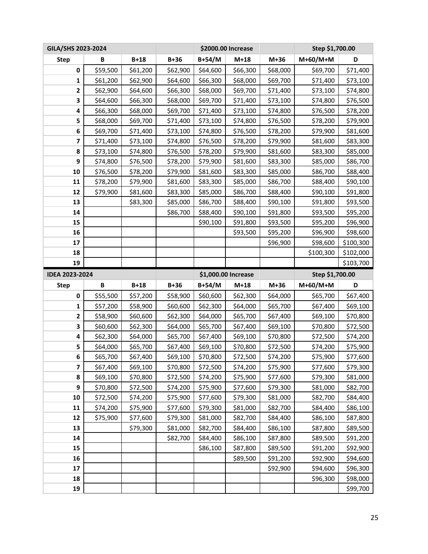| GILA/SHS 2023-2024    |          |          |          | \$2000.00 Increase |                     | Step \$1,700.00 |                 |           |
|-----------------------|----------|----------|----------|--------------------|---------------------|-----------------|-----------------|-----------|
| <b>Step</b>           | B        | $B+18$   | $B+36$   | B+54/M             | $M+18$              | $M+36$          | $M+60/M+M$      | D         |
| 0                     | \$59,500 | \$61,200 | \$62,900 | \$64,600           | \$66,300            | \$68,000        | \$69,700        | \$71,400  |
| 1                     | \$61,200 | \$62,900 | \$64,600 | \$66,300           | \$68,000            | \$69,700        | \$71,400        | \$73,100  |
| 2                     | \$62,900 | \$64,600 | \$66,300 | \$68,000           | \$69,700            | \$71,400        | \$73,100        | \$74,800  |
| 3                     | \$64,600 | \$66,300 | \$68,000 | \$69,700           | \$71,400            | \$73,100        | \$74,800        | \$76,500  |
| 4                     | \$66,300 | \$68,000 | \$69,700 | \$71,400           | \$73,100            | \$74,800        | \$76,500        | \$78,200  |
| 5                     | \$68,000 | \$69,700 | \$71,400 | \$73,100           | \$74,800            | \$76,500        | \$78,200        | \$79,900  |
| 6                     | \$69,700 | \$71,400 | \$73,100 | \$74,800           | \$76,500            | \$78,200        | \$79,900        | \$81,600  |
| 7                     | \$71,400 | \$73,100 | \$74,800 | \$76,500           | \$78,200            | \$79,900        | \$81,600        | \$83,300  |
| 8                     | \$73,100 | \$74,800 | \$76,500 | \$78,200           | \$79,900            | \$81,600        | \$83,300        | \$85,000  |
| 9                     | \$74,800 | \$76,500 | \$78,200 | \$79,900           | \$81,600            | \$83,300        | \$85,000        | \$86,700  |
| 10                    | \$76,500 | \$78,200 | \$79,900 | \$81,600           | \$83,300            | \$85,000        | \$86,700        | \$88,400  |
| 11                    | \$78,200 | \$79,900 | \$81,600 | \$83,300           | \$85,000            | \$86,700        | \$88,400        | \$90,100  |
| 12                    | \$79,900 | \$81,600 | \$83,300 | \$85,000           | \$86,700            | \$88,400        | \$90,100        | \$91,800  |
| 13                    |          | \$83,300 | \$85,000 | \$86,700           | \$88,400            | \$90,100        | \$91,800        | \$93,500  |
| 14                    |          |          | \$86,700 | \$88,400           | \$90,100            | \$91,800        | \$93,500        | \$95,200  |
| 15                    |          |          |          | \$90,100           | \$91,800            | \$93,500        | \$95,200        | \$96,900  |
| 16                    |          |          |          |                    | \$93,500            | \$95,200        | \$96,900        | \$98,600  |
| 17                    |          |          |          |                    |                     | \$96,900        | \$98,600        | \$100,300 |
| 18                    |          |          |          |                    |                     |                 | \$100,300       | \$102,000 |
| 19                    |          |          |          |                    |                     |                 |                 | \$103,700 |
|                       |          |          |          |                    |                     |                 |                 |           |
| <b>IDEA 2023-2024</b> |          |          |          |                    | \$1,000.00 Increase |                 | Step \$1,700.00 |           |
| <b>Step</b>           | B        | $B+18$   | $B+36$   | B+54/M             | $M+18$              | $M+36$          | $M+60/M+M$      | D         |
| 0                     | \$55,500 | \$57,200 | \$58,900 | \$60,600           | \$62,300            | \$64,000        | \$65,700        | \$67,400  |
| 1                     | \$57,200 | \$58,900 | \$60,600 | \$62,300           | \$64,000            | \$65,700        | \$67,400        | \$69,100  |
| $\mathbf 2$           | \$58,900 | \$60,600 | \$62,300 | \$64,000           | \$65,700            | \$67,400        | \$69,100        | \$70,800  |
| 3                     | \$60,600 | \$62,300 | \$64,000 | \$65,700           | \$67,400            | \$69,100        | \$70,800        | \$72,500  |
| 4                     | \$62,300 | \$64,000 | \$65,700 | \$67,400           | \$69,100            | \$70,800        | \$72,500        | \$74,200  |
| 5                     | \$64,000 | \$65,700 | \$67,400 | \$69,100           | \$70,800            | \$72,500        | \$74,200        | \$75,900  |
| 6                     | \$65,700 | \$67,400 | \$69,100 | \$70,800           | \$72,500            | \$74,200        | \$75,900        | \$77,600  |
| 7                     | \$67,400 | \$69,100 | \$70,800 | \$72,500           | \$74,200            | \$75,900        | \$77,600        | \$79,300  |
| 8                     | \$69,100 | \$70,800 | \$72,500 | \$74,200           | \$75,900            | \$77,600        | \$79,300        | \$81,000  |
| 9                     | \$70,800 | \$72,500 | \$74,200 | \$75,900           | \$77,600            | \$79,300        | \$81,000        | \$82,700  |
| 10                    | \$72,500 | \$74,200 | \$75,900 | \$77,600           | \$79,300            | \$81,000        | \$82,700        | \$84,400  |
| 11                    | \$74,200 | \$75,900 | \$77,600 | \$79,300           | \$81,000            | \$82,700        | \$84,400        | \$86,100  |
| 12                    | \$75,900 | \$77,600 | \$79,300 | \$81,000           | \$82,700            | \$84,400        | \$86,100        | \$87,800  |
| 13                    |          | \$79,300 | \$81,000 | \$82,700           | \$84,400            | \$86,100        | \$87,800        | \$89,500  |
| 14                    |          |          | \$82,700 | \$84,400           | \$86,100            | \$87,800        | \$89,500        | \$91,200  |
| 15                    |          |          |          | \$86,100           | \$87,800            | \$89,500        | \$91,200        | \$92,900  |
| 16                    |          |          |          |                    | \$89,500            | \$91,200        | \$92,900        | \$94,600  |
| 17                    |          |          |          |                    |                     | \$92,900        | \$94,600        | \$96,300  |
| 18                    |          |          |          |                    |                     |                 | \$96,300        | \$98,000  |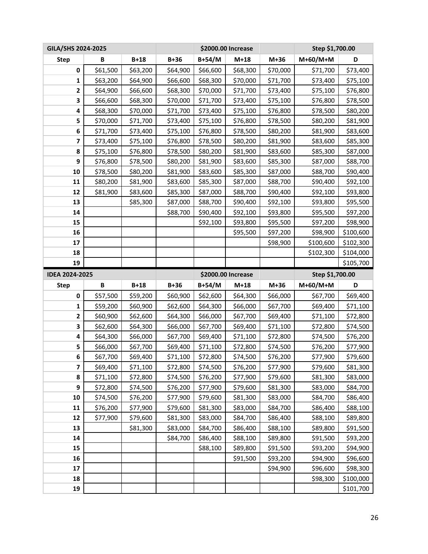| GILA/SHS 2024-2025      |          |          |          | \$2000.00 Increase |                    | Step \$1,700.00 |                 |           |
|-------------------------|----------|----------|----------|--------------------|--------------------|-----------------|-----------------|-----------|
| <b>Step</b>             | B        | $B+18$   | $B+36$   | B+54/M             | $M+18$             | $M+36$          | $M+60/M+M$      | D         |
| 0                       | \$61,500 | \$63,200 | \$64,900 | \$66,600           | \$68,300           | \$70,000        | \$71,700        | \$73,400  |
| 1                       | \$63,200 | \$64,900 | \$66,600 | \$68,300           | \$70,000           | \$71,700        | \$73,400        | \$75,100  |
| 2                       | \$64,900 | \$66,600 | \$68,300 | \$70,000           | \$71,700           | \$73,400        | \$75,100        | \$76,800  |
| 3                       | \$66,600 | \$68,300 | \$70,000 | \$71,700           | \$73,400           | \$75,100        | \$76,800        | \$78,500  |
| 4                       | \$68,300 | \$70,000 | \$71,700 | \$73,400           | \$75,100           | \$76,800        | \$78,500        | \$80,200  |
| 5                       | \$70,000 | \$71,700 | \$73,400 | \$75,100           | \$76,800           | \$78,500        | \$80,200        | \$81,900  |
| 6                       | \$71,700 | \$73,400 | \$75,100 | \$76,800           | \$78,500           | \$80,200        | \$81,900        | \$83,600  |
| 7                       | \$73,400 | \$75,100 | \$76,800 | \$78,500           | \$80,200           | \$81,900        | \$83,600        | \$85,300  |
| 8                       | \$75,100 | \$76,800 | \$78,500 | \$80,200           | \$81,900           | \$83,600        | \$85,300        | \$87,000  |
| 9                       | \$76,800 | \$78,500 | \$80,200 | \$81,900           | \$83,600           | \$85,300        | \$87,000        | \$88,700  |
| 10                      | \$78,500 | \$80,200 | \$81,900 | \$83,600           | \$85,300           | \$87,000        | \$88,700        | \$90,400  |
| 11                      | \$80,200 | \$81,900 | \$83,600 | \$85,300           | \$87,000           | \$88,700        | \$90,400        | \$92,100  |
| 12                      | \$81,900 | \$83,600 | \$85,300 | \$87,000           | \$88,700           | \$90,400        | \$92,100        | \$93,800  |
| 13                      |          | \$85,300 | \$87,000 | \$88,700           | \$90,400           | \$92,100        | \$93,800        | \$95,500  |
| 14                      |          |          | \$88,700 | \$90,400           | \$92,100           | \$93,800        | \$95,500        | \$97,200  |
| 15                      |          |          |          | \$92,100           | \$93,800           | \$95,500        | \$97,200        | \$98,900  |
| 16                      |          |          |          |                    | \$95,500           | \$97,200        | \$98,900        | \$100,600 |
| 17                      |          |          |          |                    |                    | \$98,900        | \$100,600       | \$102,300 |
| 18                      |          |          |          |                    |                    |                 | \$102,300       | \$104,000 |
| 19                      |          |          |          |                    |                    |                 |                 | \$105,700 |
|                         |          |          |          |                    |                    |                 |                 |           |
| <b>IDEA 2024-2025</b>   |          |          |          |                    | \$2000.00 Increase |                 | Step \$1,700.00 |           |
| <b>Step</b>             | B        | $B+18$   | $B+36$   | B+54/M             | $M+18$             | $M+36$          | M+60/M+M        | D         |
| 0                       | \$57,500 | \$59,200 | \$60,900 | \$62,600           | \$64,300           | \$66,000        | \$67,700        | \$69,400  |
| 1                       | \$59,200 | \$60,900 | \$62,600 | \$64,300           | \$66,000           | \$67,700        | \$69,400        | \$71,100  |
| $\mathbf 2$             | \$60,900 | \$62,600 | \$64,300 | \$66,000           | \$67,700           | \$69,400        | \$71,100        | \$72,800  |
| 3                       | \$62,600 | \$64,300 | \$66,000 | \$67,700           | \$69,400           | \$71,100        | \$72,800        | \$74,500  |
| 4                       | \$64,300 | \$66,000 | \$67,700 | \$69,400           | \$71,100           | \$72,800        | \$74,500        | \$76,200  |
| 5                       | \$66,000 | \$67,700 | \$69,400 | \$71,100           | \$72,800           | \$74,500        | \$76,200        | \$77,900  |
| 6                       | \$67,700 | \$69,400 | \$71,100 | \$72,800           | \$74,500           | \$76,200        | \$77,900        | \$79,600  |
| $\overline{\mathbf{z}}$ | \$69,400 | \$71,100 | \$72,800 | \$74,500           | \$76,200           | \$77,900        | \$79,600        | \$81,300  |
| 8                       | \$71,100 | \$72,800 | \$74,500 | \$76,200           | \$77,900           | \$79,600        | \$81,300        | \$83,000  |
| 9                       | \$72,800 | \$74,500 | \$76,200 | \$77,900           | \$79,600           | \$81,300        | \$83,000        | \$84,700  |
| 10                      | \$74,500 | \$76,200 | \$77,900 | \$79,600           | \$81,300           | \$83,000        | \$84,700        | \$86,400  |
| 11                      | \$76,200 | \$77,900 | \$79,600 | \$81,300           | \$83,000           | \$84,700        | \$86,400        | \$88,100  |
| 12                      | \$77,900 | \$79,600 | \$81,300 | \$83,000           | \$84,700           | \$86,400        | \$88,100        | \$89,800  |
| 13                      |          | \$81,300 | \$83,000 | \$84,700           | \$86,400           | \$88,100        | \$89,800        | \$91,500  |
| 14                      |          |          | \$84,700 | \$86,400           | \$88,100           | \$89,800        | \$91,500        | \$93,200  |
| 15                      |          |          |          | \$88,100           | \$89,800           | \$91,500        | \$93,200        | \$94,900  |
| 16                      |          |          |          |                    | \$91,500           | \$93,200        | \$94,900        | \$96,600  |
| 17                      |          |          |          |                    |                    | \$94,900        | \$96,600        | \$98,300  |
| 18                      |          |          |          |                    |                    |                 | \$98,300        | \$100,000 |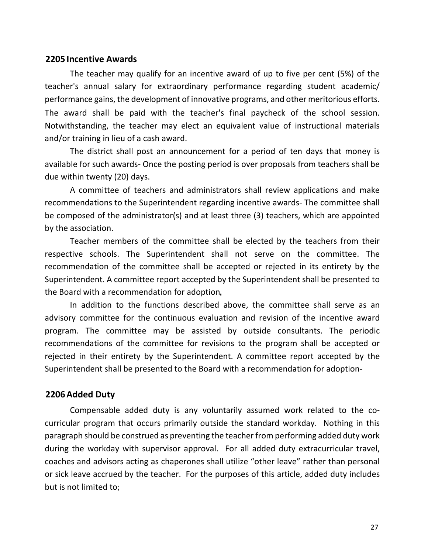#### **2205 Incentive Awards**

The teacher may qualify for an incentive award of up to five per cent (5%) of the teacher's annual salary for extraordinary performance regarding student academic/ performance gains, the development of innovative programs, and other meritorious efforts. The award shall be paid with the teacher's final paycheck of the school session. Notwithstanding, the teacher may elect an equivalent value of instructional materials and/or training in lieu of a cash award.

The district shall post an announcement for a period of ten days that money is available for such awards- Once the posting period is over proposals from teachers shall be due within twenty (20) days.

A committee of teachers and administrators shall review applications and make recommendations to the Superintendent regarding incentive awards- The committee shall be composed of the administrator(s) and at least three (3) teachers, which are appointed by the association.

Teacher members of the committee shall be elected by the teachers from their respective schools. The Superintendent shall not serve on the committee. The recommendation of the committee shall be accepted or rejected in its entirety by the Superintendent. A committee report accepted by the Superintendent shall be presented to the Board with a recommendation for adoption

In addition to the functions described above, the committee shall serve as an advisory committee for the continuous evaluation and revision of the incentive award program. The committee may be assisted by outside consultants. The periodic recommendations of the committee for revisions to the program shall be accepted or rejected in their entirety by the Superintendent. A committee report accepted by the Superintendent shall be presented to the Board with a recommendation for adoption-

#### **2206Added Duty**

Compensable added duty is any voluntarily assumed work related to the cocurricular program that occurs primarily outside the standard workday. Nothing in this paragraph should be construed as preventing the teacher from performing added duty work during the workday with supervisor approval. For all added duty extracurricular travel, coaches and advisors acting as chaperones shall utilize "other leave" rather than personal or sick leave accrued by the teacher. For the purposes of this article, added duty includes but is not limited to;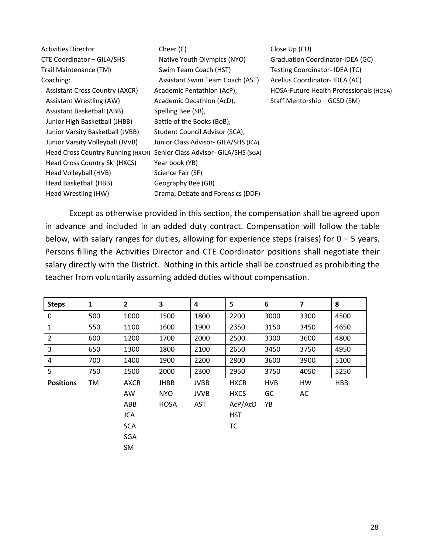| <b>Activities Director</b>            | Cheer (C)                            | Close Up (CU)                           |
|---------------------------------------|--------------------------------------|-----------------------------------------|
| CTE Coordinator - GILA/SHS            | Native Youth Olympics (NYO)          | Graduation Coordinator-IDEA (GC)        |
| Trail Maintenance (TM)                | Swim Team Coach (HST)                | Testing Coordinator-IDEA (TC)           |
| Coaching:                             | Assistant Swim Team Coach (AST)      | Acellus Coordinator-IDEA (AC)           |
| <b>Assistant Cross Country (AXCR)</b> | Academic Pentathlon (AcP),           | HOSA-Future Health Professionals (HOSA) |
| Assistant Wrestling (AW)              | Academic Decathlon (AcD),            | Staff Mentorship - GCSD (SM)            |
| Assistant Basketball (ABB)            | Spelling Bee (SB),                   |                                         |
| Junior High Basketball (JHBB)         | Battle of the Books (BoB),           |                                         |
| Junior Varsity Basketball (JVBB)      | Student Council Advisor (SCA),       |                                         |
| Junior Varsity Volleyball (JVVB)      | Junior Class Advisor- GILA/SHS (JCA) |                                         |
| Head Cross Country Running (HXCR)     | Senior Class Advisor- GILA/SHS (SGA) |                                         |
| Head Cross Country Ski (HXCS)         | Year book (YB)                       |                                         |
| Head Volleyball (HVB)                 | Science Fair (SF)                    |                                         |
| Head Basketball (HBB)                 | Geography Bee (GB)                   |                                         |
| Head Wrestling (HW)                   | Drama, Debate and Forensics (DDF)    |                                         |

Except as otherwise provided in this section, the compensation shall be agreed upon in advance and included in an added duty contract. Compensation will follow the table below, with salary ranges for duties, allowing for experience steps (raises) for  $0 - 5$  years. Persons filling the Activities Director and CTE Coordinator positions shall negotiate their salary directly with the District. Nothing in this article shall be construed as prohibiting the teacher from voluntarily assuming added duties without compensation.

| <b>Steps</b>     | $\mathbf{1}$ | $\overline{\mathbf{2}}$ | 3           | 4           | 5           | 6          | 7    | 8          |
|------------------|--------------|-------------------------|-------------|-------------|-------------|------------|------|------------|
| 0                | 500          | 1000                    | 1500        | 1800        | 2200        | 3000       | 3300 | 4500       |
| 1                | 550          | 1100                    | 1600        | 1900        | 2350        | 3150       | 3450 | 4650       |
| $\overline{2}$   | 600          | 1200                    | 1700        | 2000        | 2500        | 3300       | 3600 | 4800       |
| 3                | 650          | 1300                    | 1800        | 2100        | 2650        | 3450       | 3750 | 4950       |
| 4                | 700          | 1400                    | 1900        | 2200        | 2800        | 3600       | 3900 | 5100       |
| 5                | 750          | 1500                    | 2000        | 2300        | 2950        | 3750       | 4050 | 5250       |
| <b>Positions</b> | TM           | <b>AXCR</b>             | <b>JHBB</b> | <b>JVBB</b> | <b>HXCR</b> | <b>HVB</b> | HW   | <b>HBB</b> |
|                  |              | AW                      | <b>NYO</b>  | <b>JVVB</b> | <b>HXCS</b> | GC         | AC   |            |
|                  |              | ABB                     | <b>HOSA</b> | AST         | AcP/AcD     | YB         |      |            |
|                  |              | <b>JCA</b>              |             |             | <b>HST</b>  |            |      |            |
|                  |              | <b>SCA</b>              |             |             | ТC          |            |      |            |
|                  |              | <b>SGA</b>              |             |             |             |            |      |            |
|                  |              | <b>SM</b>               |             |             |             |            |      |            |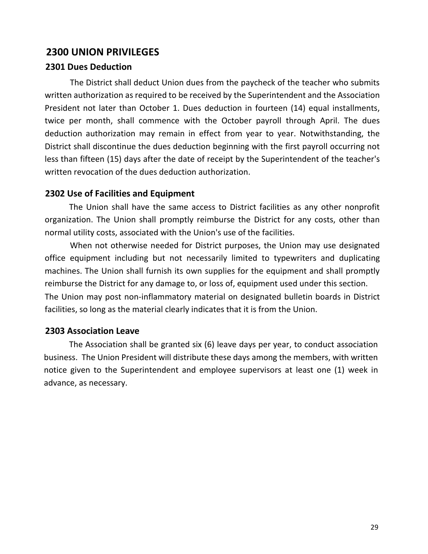# **2300 UNION PRIVILEGES**

### **2301 Dues Deduction**

The District shall deduct Union dues from the paycheck of the teacher who submits written authorization as required to be received by the Superintendent and the Association President not later than October 1. Dues deduction in fourteen (14) equal installments, twice per month, shall commence with the October payroll through April. The dues deduction authorization may remain in effect from year to year. Notwithstanding, the District shall discontinue the dues deduction beginning with the first payroll occurring not less than fifteen (15) days after the date of receipt by the Superintendent of the teacher's written revocation of the dues deduction authorization.

### **2302 Use of Facilities and Equipment**

The Union shall have the same access to District facilities as any other nonprofit organization. The Union shall promptly reimburse the District for any costs, other than normal utility costs, associated with the Union's use of the facilities.

When not otherwise needed for District purposes, the Union may use designated office equipment including but not necessarily limited to typewriters and duplicating machines. The Union shall furnish its own supplies for the equipment and shall promptly reimburse the District for any damage to, or loss of, equipment used under this section. The Union may post non-inflammatory material on designated bulletin boards in District facilities, so long as the material clearly indicates that it is from the Union.

### **2303 Association Leave**

The Association shall be granted six (6) leave days per year, to conduct association business. The Union President will distribute these days among the members, with written notice given to the Superintendent and employee supervisors at least one (1) week in advance, as necessary.